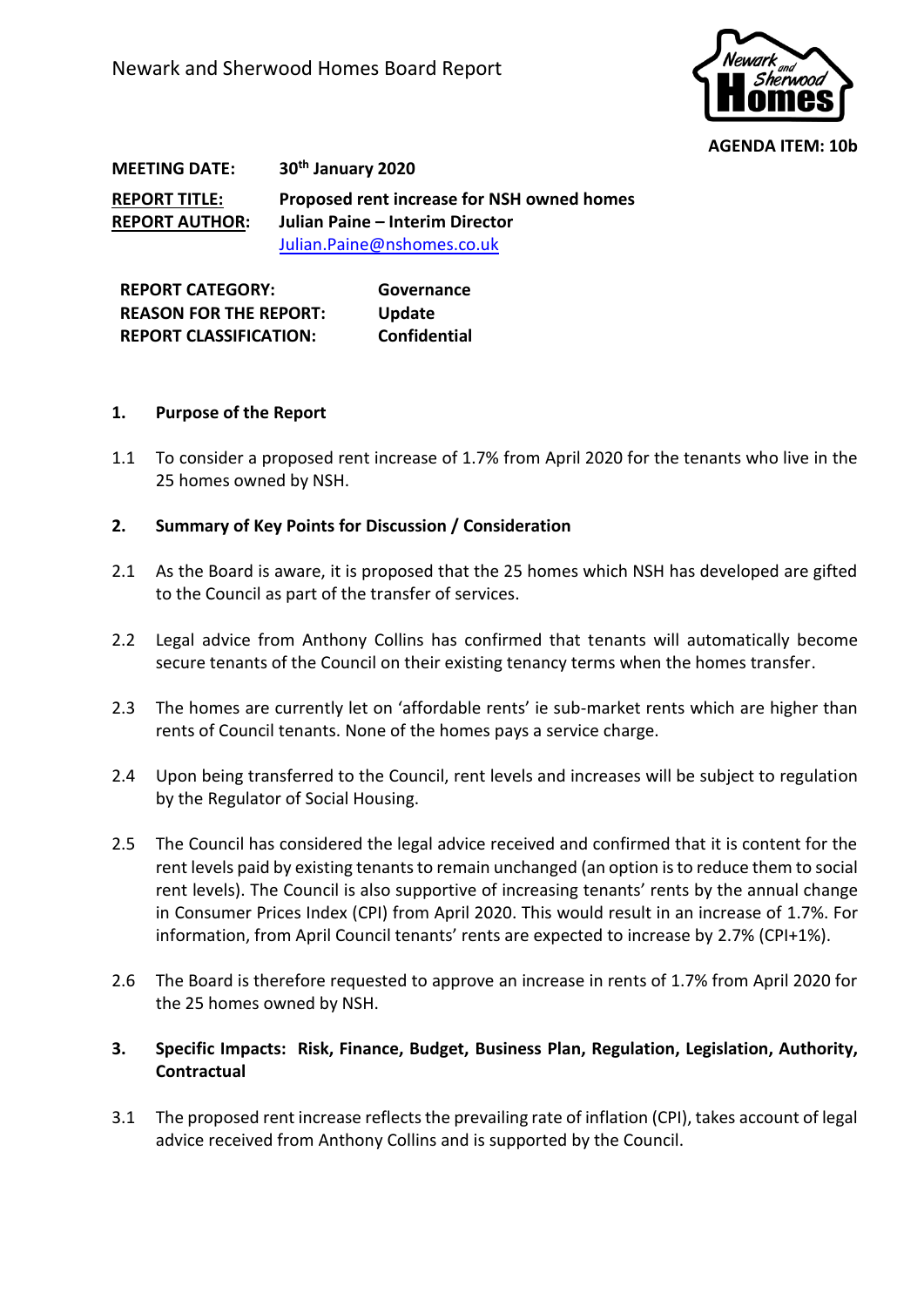

**AGENDA ITEM: 10b**

**MEETING DATE: 30th January 2020 REPORT TITLE: Proposed rent increase for NSH owned homes REPORT AUTHOR: Julian Paine – Interim Director** [Julian.Paine@nshomes.co.uk](mailto:Julian.Paine@nshomes.co.uk)

**REPORT CATEGORY: Governance REASON FOR THE REPORT: Update REPORT CLASSIFICATION: Confidential**

## **1. Purpose of the Report**

1.1 To consider a proposed rent increase of 1.7% from April 2020 for the tenants who live in the 25 homes owned by NSH.

## **2. Summary of Key Points for Discussion / Consideration**

- 2.1 As the Board is aware, it is proposed that the 25 homes which NSH has developed are gifted to the Council as part of the transfer of services.
- 2.2 Legal advice from Anthony Collins has confirmed that tenants will automatically become secure tenants of the Council on their existing tenancy terms when the homes transfer.
- 2.3 The homes are currently let on 'affordable rents' ie sub-market rents which are higher than rents of Council tenants. None of the homes pays a service charge.
- 2.4 Upon being transferred to the Council, rent levels and increases will be subject to regulation by the Regulator of Social Housing.
- 2.5 The Council has considered the legal advice received and confirmed that it is content for the rent levels paid by existing tenants to remain unchanged (an option is to reduce them to social rent levels). The Council is also supportive of increasing tenants' rents by the annual change in Consumer Prices Index (CPI) from April 2020. This would result in an increase of 1.7%. For information, from April Council tenants' rents are expected to increase by 2.7% (CPI+1%).
- 2.6 The Board is therefore requested to approve an increase in rents of 1.7% from April 2020 for the 25 homes owned by NSH.
- **3. Specific Impacts: Risk, Finance, Budget, Business Plan, Regulation, Legislation, Authority, Contractual**
- 3.1 The proposed rent increase reflects the prevailing rate of inflation (CPI), takes account of legal advice received from Anthony Collins and is supported by the Council.